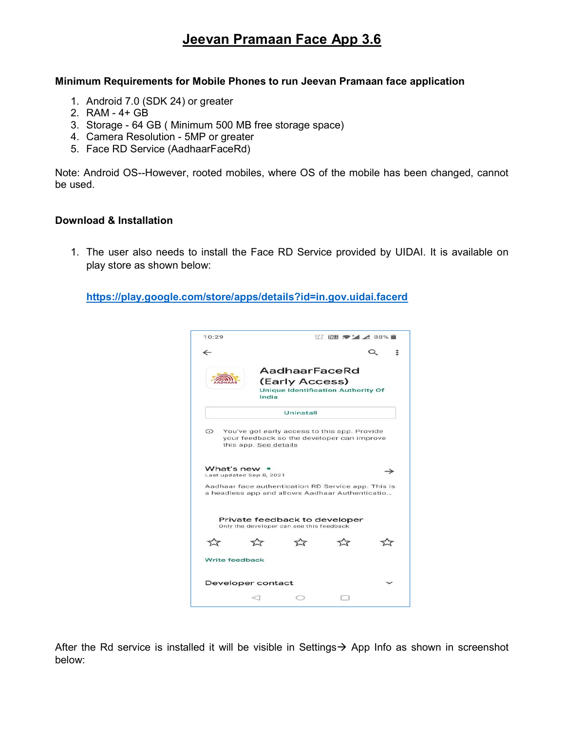# Jeevan Pramaan Face App 3.6

#### Minimum Requirements for Mobile Phones to run Jeevan Pramaan face application

- 1. Android 7.0 (SDK 24) or greater
- 2. RAM 4+ GB
- 3. Storage 64 GB ( Minimum 500 MB free storage space)
- 4. Camera Resolution 5MP or greater
- 5. Face RD Service (AadhaarFaceRd)

Note: Android OS--However, rooted mobiles, where OS of the mobile has been changed, cannot be used.

### Download & Installation

1. The user also needs to install the Face RD Service provided by UIDAI. It is available on play store as shown below:

https://play.google.com/store/apps/details?id=in.gov.uidai.facerd



After the Rd service is installed it will be visible in Settings  $\rightarrow$  App Info as shown in screenshot below: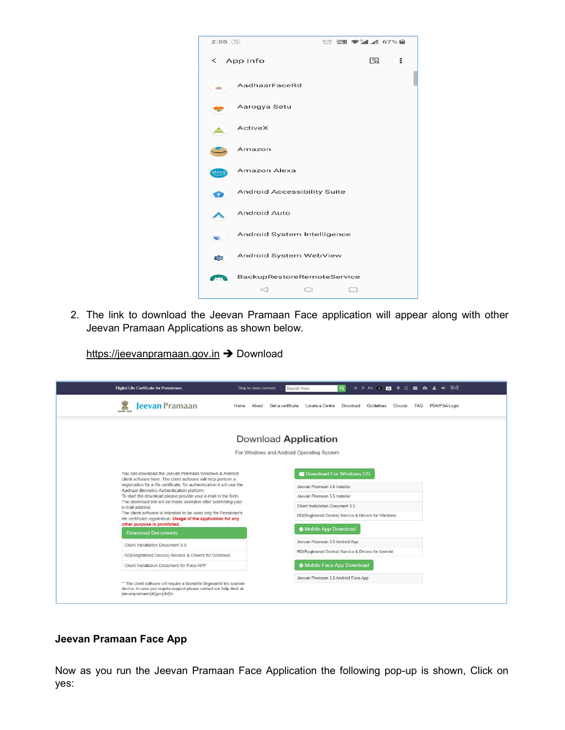

2. The link to download the Jeevan Pramaan Face application will appear along with other Jeevan Pramaan Applications as shown below.

https://jeevanpramaan.gov.in > Download

| Digital Life Certificate for Pensioners.                                                                                                                                                                                                                                                                                                                                                                                                                                                                                                                                                                 | +® हिन्दी<br>Skip to main content<br>Search Here<br>$\alpha$<br>A A A + (A) 23 0 9 0 23 4 3                                                                                                                      |
|----------------------------------------------------------------------------------------------------------------------------------------------------------------------------------------------------------------------------------------------------------------------------------------------------------------------------------------------------------------------------------------------------------------------------------------------------------------------------------------------------------------------------------------------------------------------------------------------------------|------------------------------------------------------------------------------------------------------------------------------------------------------------------------------------------------------------------|
| <b>Jeevan Pramaan</b><br>恩<br>सत्यमेव जवले                                                                                                                                                                                                                                                                                                                                                                                                                                                                                                                                                               | PDA/PSA Login<br>Home<br>About<br>Get a certificate<br>Locate a Centre<br>Download<br>Guidelines<br>Circular<br><b>FAQ</b>                                                                                       |
|                                                                                                                                                                                                                                                                                                                                                                                                                                                                                                                                                                                                          | Download Application                                                                                                                                                                                             |
|                                                                                                                                                                                                                                                                                                                                                                                                                                                                                                                                                                                                          | For Windows and Android Operating System                                                                                                                                                                         |
| You can download the Jeevan Pramaan Windows & Android<br>client software here. The client software will help perform a<br>registration for a life certificate, for authentication it will use the<br>Aadhaar Biometric Authentication platform.<br>To start the download please provide your e-mail in the form.<br>The download link will be made available after submitting your<br>e-mail address.<br>The client software is intended to be used only for Pensioner's<br>life certificate registration. Usage of the application for any<br>other purpose is prohibited.<br><b>Download Documents</b> | <b>Download For Windows OS</b><br>Jeevan Pramaan 3 6 Installer<br>Jeevan Pramaan 3.5 Installer<br>Client Installation Document 3.5<br>RD(Registered Device) Service & Drivers for Windows<br>Mobile App Download |
| Client Installation Document 3.5                                                                                                                                                                                                                                                                                                                                                                                                                                                                                                                                                                         | Jeevan Pramaan 3.6 Android App                                                                                                                                                                                   |
| RD(Registered Device) Service & Drivers for Windows                                                                                                                                                                                                                                                                                                                                                                                                                                                                                                                                                      | RD(Registered Device) Service & Drivers for Android                                                                                                                                                              |
| Client Installation Document for Face APP                                                                                                                                                                                                                                                                                                                                                                                                                                                                                                                                                                | Mobile Face App Download                                                                                                                                                                                         |
| ** The client software will require a biometric fingerprint/ iris scanner<br>device. In case you require support please contact our help desk at<br>jeevanpramaan[at]gov[dot]in.                                                                                                                                                                                                                                                                                                                                                                                                                         | Jeevan Pramaan 3.6 Android Face App                                                                                                                                                                              |

## Jeevan Pramaan Face App

Now as you run the Jeevan Pramaan Face Application the following pop-up is shown, Click on yes: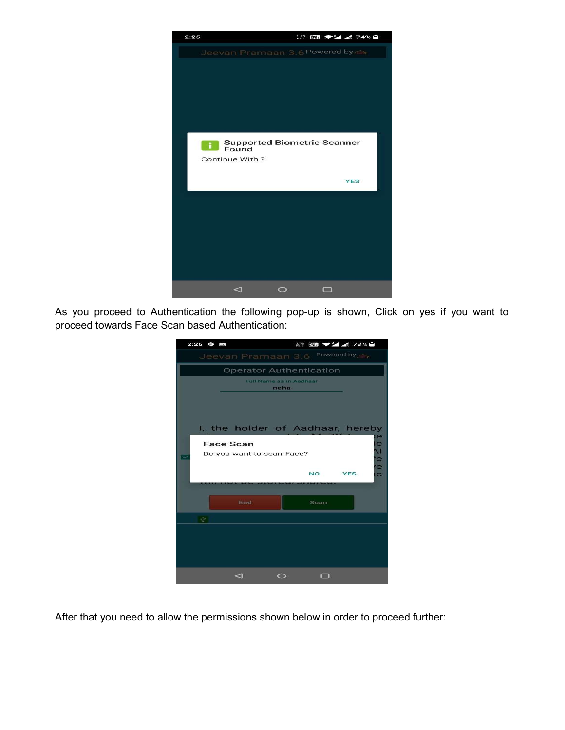

As you proceed to Authentication the following pop-up is shown, Click on yes if you want to proceed towards Face Scan based Authentication:

| $2:26$ $\oplus$ $\blacksquare$                            |                                  |           | 279 岡野 マンイ イ 73% 日 |                    |         |  |
|-----------------------------------------------------------|----------------------------------|-----------|--------------------|--------------------|---------|--|
|                                                           | Jeevan Pramaan 3.6               |           |                    | Powered by, stress |         |  |
|                                                           | <b>Operator Authentication</b>   |           |                    |                    |         |  |
| <b>Full Name as in Aadhaar</b><br>neha                    |                                  |           |                    |                    |         |  |
|                                                           |                                  |           |                    |                    |         |  |
|                                                           |                                  |           |                    |                    |         |  |
|                                                           | I, the holder of Aadhaar, hereby |           |                    |                    |         |  |
|                                                           |                                  |           |                    |                    | ie      |  |
| <b>Face Scan</b><br>IC<br>ΔI<br>Do you want to scan Face? |                                  |           |                    |                    |         |  |
|                                                           |                                  |           |                    |                    | fe<br>e |  |
|                                                           |                                  |           | <b>NO</b>          | <b>YES</b>         | ic      |  |
|                                                           |                                  |           |                    |                    |         |  |
|                                                           | End                              |           | Scan               |                    |         |  |
| 屯                                                         |                                  |           |                    |                    |         |  |
|                                                           |                                  |           |                    |                    |         |  |
|                                                           |                                  |           |                    |                    |         |  |
|                                                           |                                  |           |                    |                    |         |  |
|                                                           |                                  |           |                    |                    |         |  |
|                                                           | ⊲                                | $\bigcap$ | п                  |                    |         |  |

After that you need to allow the permissions shown below in order to proceed further: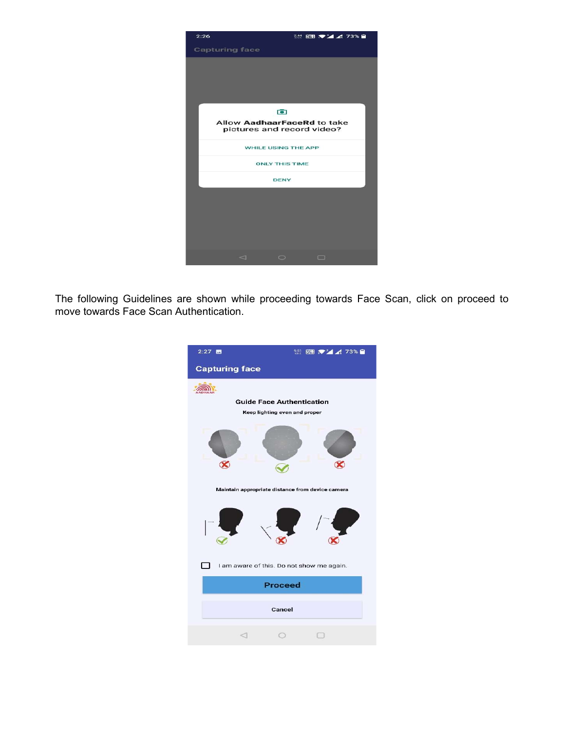

The following Guidelines are shown while proceeding towards Face Scan, click on proceed to move towards Face Scan Authentication.